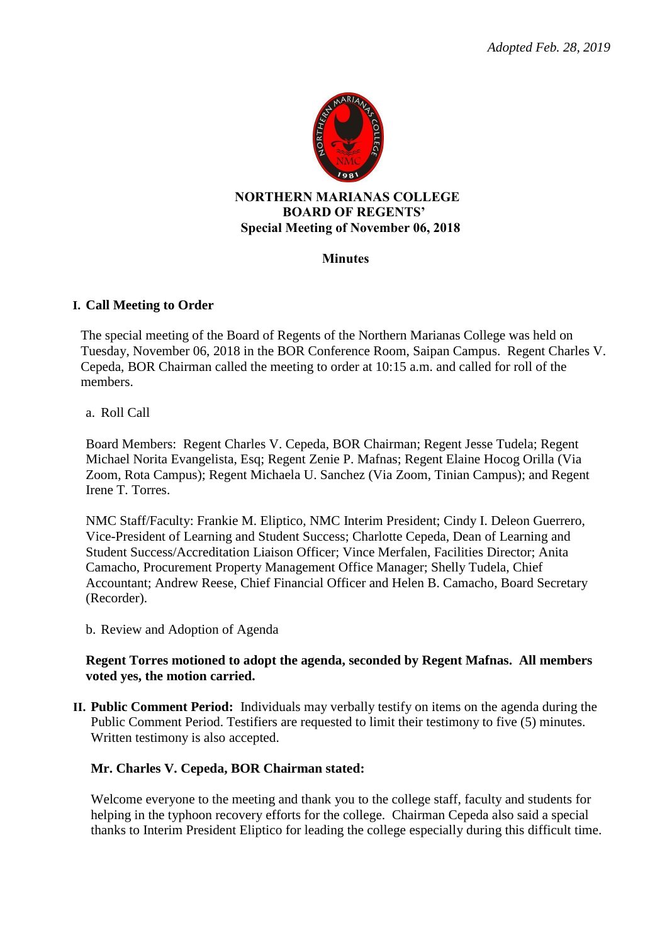

#### **NORTHERN MARIANAS COLLEGE BOARD OF REGENTS' Special Meeting of November 06, 2018**

#### **Minutes**

## **I. Call Meeting to Order**

The special meeting of the Board of Regents of the Northern Marianas College was held on Tuesday, November 06, 2018 in the BOR Conference Room, Saipan Campus. Regent Charles V. Cepeda, BOR Chairman called the meeting to order at 10:15 a.m. and called for roll of the members.

#### a. Roll Call

Board Members: Regent Charles V. Cepeda, BOR Chairman; Regent Jesse Tudela; Regent Michael Norita Evangelista, Esq; Regent Zenie P. Mafnas; Regent Elaine Hocog Orilla (Via Zoom, Rota Campus); Regent Michaela U. Sanchez (Via Zoom, Tinian Campus); and Regent Irene T. Torres.

NMC Staff/Faculty: Frankie M. Eliptico, NMC Interim President; Cindy I. Deleon Guerrero, Vice-President of Learning and Student Success; Charlotte Cepeda, Dean of Learning and Student Success/Accreditation Liaison Officer; Vince Merfalen, Facilities Director; Anita Camacho, Procurement Property Management Office Manager; Shelly Tudela, Chief Accountant; Andrew Reese, Chief Financial Officer and Helen B. Camacho, Board Secretary (Recorder).

b. Review and Adoption of Agenda

#### **Regent Torres motioned to adopt the agenda, seconded by Regent Mafnas. All members voted yes, the motion carried.**

**II. Public Comment Period:** Individuals may verbally testify on items on the agenda during the Public Comment Period. Testifiers are requested to limit their testimony to five (5) minutes. Written testimony is also accepted.

## **Mr. Charles V. Cepeda, BOR Chairman stated:**

Welcome everyone to the meeting and thank you to the college staff, faculty and students for helping in the typhoon recovery efforts for the college. Chairman Cepeda also said a special thanks to Interim President Eliptico for leading the college especially during this difficult time.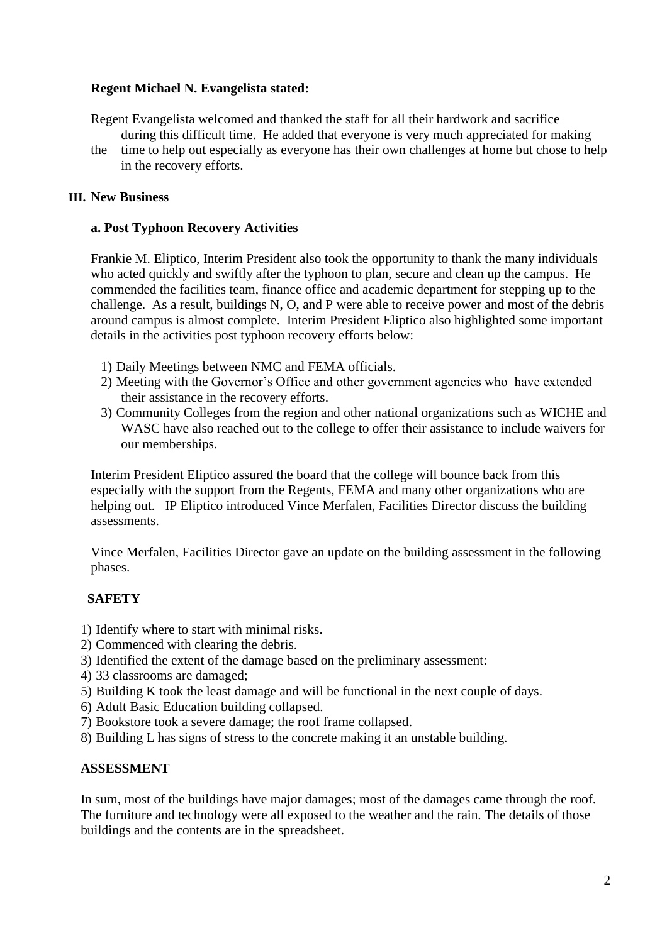## **Regent Michael N. Evangelista stated:**

- Regent Evangelista welcomed and thanked the staff for all their hardwork and sacrifice during this difficult time. He added that everyone is very much appreciated for making
- the time to help out especially as everyone has their own challenges at home but chose to help in the recovery efforts.

#### **III. New Business**

#### **a. Post Typhoon Recovery Activities**

Frankie M. Eliptico, Interim President also took the opportunity to thank the many individuals who acted quickly and swiftly after the typhoon to plan, secure and clean up the campus. He commended the facilities team, finance office and academic department for stepping up to the challenge. As a result, buildings N, O, and P were able to receive power and most of the debris around campus is almost complete. Interim President Eliptico also highlighted some important details in the activities post typhoon recovery efforts below:

- 1) Daily Meetings between NMC and FEMA officials.
- 2) Meeting with the Governor's Office and other government agencies who have extended their assistance in the recovery efforts.
- 3) Community Colleges from the region and other national organizations such as WICHE and WASC have also reached out to the college to offer their assistance to include waivers for our memberships.

Interim President Eliptico assured the board that the college will bounce back from this especially with the support from the Regents, FEMA and many other organizations who are helping out. IP Eliptico introduced Vince Merfalen, Facilities Director discuss the building assessments.

 Vince Merfalen, Facilities Director gave an update on the building assessment in the following phases.

## **SAFETY**

- 1) Identify where to start with minimal risks.
- 2) Commenced with clearing the debris.
- 3) Identified the extent of the damage based on the preliminary assessment:
- 4) 33 classrooms are damaged;
- 5) Building K took the least damage and will be functional in the next couple of days.
- 6) Adult Basic Education building collapsed.
- 7) Bookstore took a severe damage; the roof frame collapsed.
- 8) Building L has signs of stress to the concrete making it an unstable building.

## **ASSESSMENT**

In sum, most of the buildings have major damages; most of the damages came through the roof. The furniture and technology were all exposed to the weather and the rain. The details of those buildings and the contents are in the spreadsheet.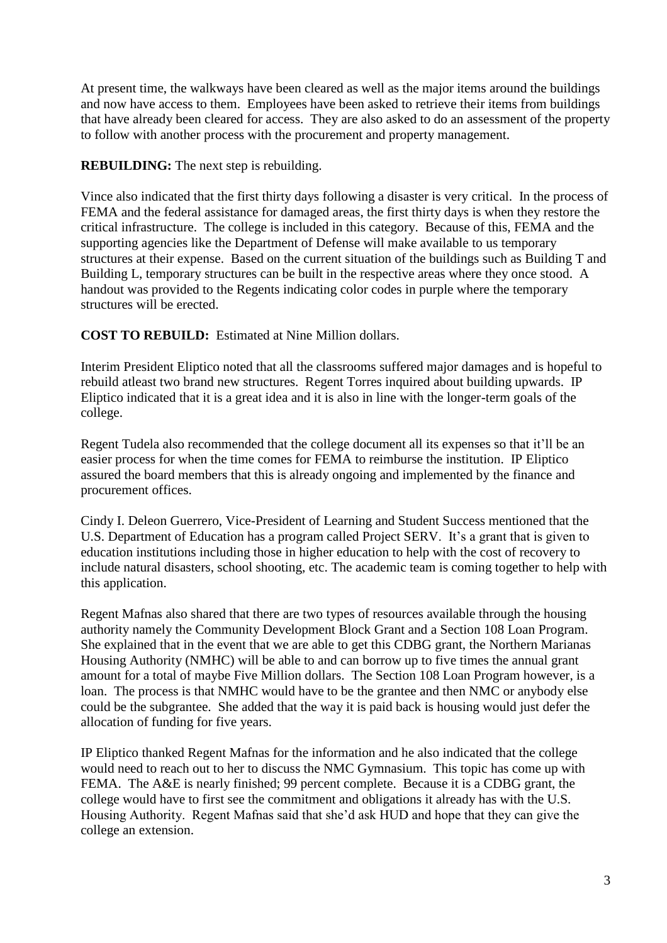At present time, the walkways have been cleared as well as the major items around the buildings and now have access to them. Employees have been asked to retrieve their items from buildings that have already been cleared for access. They are also asked to do an assessment of the property to follow with another process with the procurement and property management.

**REBUILDING:** The next step is rebuilding.

Vince also indicated that the first thirty days following a disaster is very critical. In the process of FEMA and the federal assistance for damaged areas, the first thirty days is when they restore the critical infrastructure. The college is included in this category. Because of this, FEMA and the supporting agencies like the Department of Defense will make available to us temporary structures at their expense. Based on the current situation of the buildings such as Building T and Building L, temporary structures can be built in the respective areas where they once stood. A handout was provided to the Regents indicating color codes in purple where the temporary structures will be erected.

**COST TO REBUILD:** Estimated at Nine Million dollars.

Interim President Eliptico noted that all the classrooms suffered major damages and is hopeful to rebuild atleast two brand new structures. Regent Torres inquired about building upwards. IP Eliptico indicated that it is a great idea and it is also in line with the longer-term goals of the college.

Regent Tudela also recommended that the college document all its expenses so that it'll be an easier process for when the time comes for FEMA to reimburse the institution. IP Eliptico assured the board members that this is already ongoing and implemented by the finance and procurement offices.

Cindy I. Deleon Guerrero, Vice-President of Learning and Student Success mentioned that the U.S. Department of Education has a program called Project SERV. It's a grant that is given to education institutions including those in higher education to help with the cost of recovery to include natural disasters, school shooting, etc. The academic team is coming together to help with this application.

Regent Mafnas also shared that there are two types of resources available through the housing authority namely the Community Development Block Grant and a Section 108 Loan Program. She explained that in the event that we are able to get this CDBG grant, the Northern Marianas Housing Authority (NMHC) will be able to and can borrow up to five times the annual grant amount for a total of maybe Five Million dollars. The Section 108 Loan Program however, is a loan. The process is that NMHC would have to be the grantee and then NMC or anybody else could be the subgrantee. She added that the way it is paid back is housing would just defer the allocation of funding for five years.

IP Eliptico thanked Regent Mafnas for the information and he also indicated that the college would need to reach out to her to discuss the NMC Gymnasium. This topic has come up with FEMA. The A&E is nearly finished; 99 percent complete. Because it is a CDBG grant, the college would have to first see the commitment and obligations it already has with the U.S. Housing Authority. Regent Mafnas said that she'd ask HUD and hope that they can give the college an extension.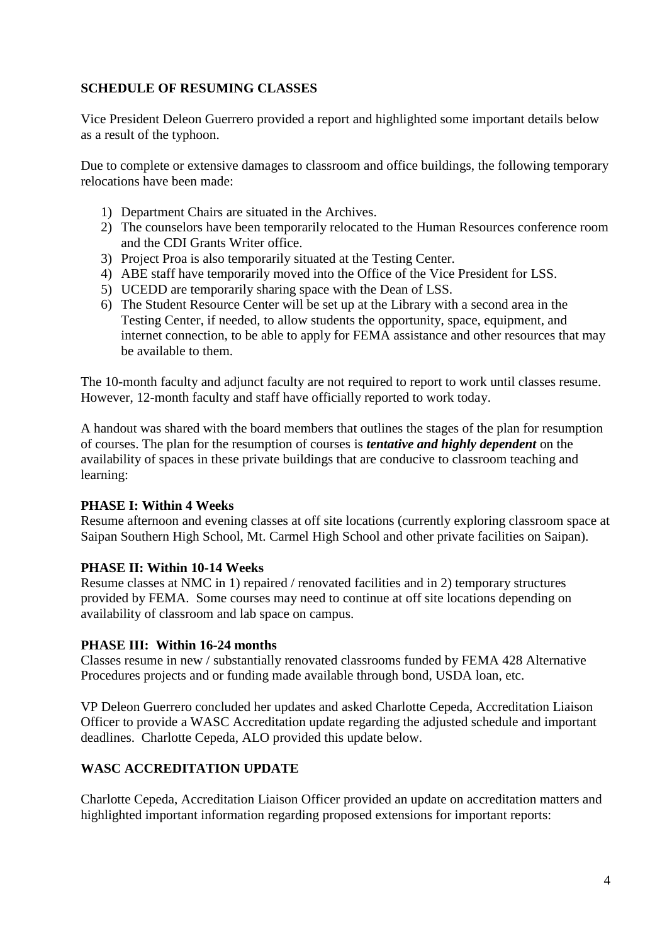## **SCHEDULE OF RESUMING CLASSES**

Vice President Deleon Guerrero provided a report and highlighted some important details below as a result of the typhoon.

Due to complete or extensive damages to classroom and office buildings, the following temporary relocations have been made:

- 1) Department Chairs are situated in the Archives.
- 2) The counselors have been temporarily relocated to the Human Resources conference room and the CDI Grants Writer office.
- 3) Project Proa is also temporarily situated at the Testing Center.
- 4) ABE staff have temporarily moved into the Office of the Vice President for LSS.
- 5) UCEDD are temporarily sharing space with the Dean of LSS.
- 6) The Student Resource Center will be set up at the Library with a second area in the Testing Center, if needed, to allow students the opportunity, space, equipment, and internet connection, to be able to apply for FEMA assistance and other resources that may be available to them.

The 10-month faculty and adjunct faculty are not required to report to work until classes resume. However, 12-month faculty and staff have officially reported to work today.

A handout was shared with the board members that outlines the stages of the plan for resumption of courses. The plan for the resumption of courses is *tentative and highly dependent* on the availability of spaces in these private buildings that are conducive to classroom teaching and learning:

## **PHASE I: Within 4 Weeks**

Resume afternoon and evening classes at off site locations (currently exploring classroom space at Saipan Southern High School, Mt. Carmel High School and other private facilities on Saipan).

## **PHASE II: Within 10-14 Weeks**

Resume classes at NMC in 1) repaired / renovated facilities and in 2) temporary structures provided by FEMA. Some courses may need to continue at off site locations depending on availability of classroom and lab space on campus.

## **PHASE III: Within 16-24 months**

Classes resume in new / substantially renovated classrooms funded by FEMA 428 Alternative Procedures projects and or funding made available through bond, USDA loan, etc.

VP Deleon Guerrero concluded her updates and asked Charlotte Cepeda, Accreditation Liaison Officer to provide a WASC Accreditation update regarding the adjusted schedule and important deadlines. Charlotte Cepeda, ALO provided this update below.

# **WASC ACCREDITATION UPDATE**

Charlotte Cepeda, Accreditation Liaison Officer provided an update on accreditation matters and highlighted important information regarding proposed extensions for important reports: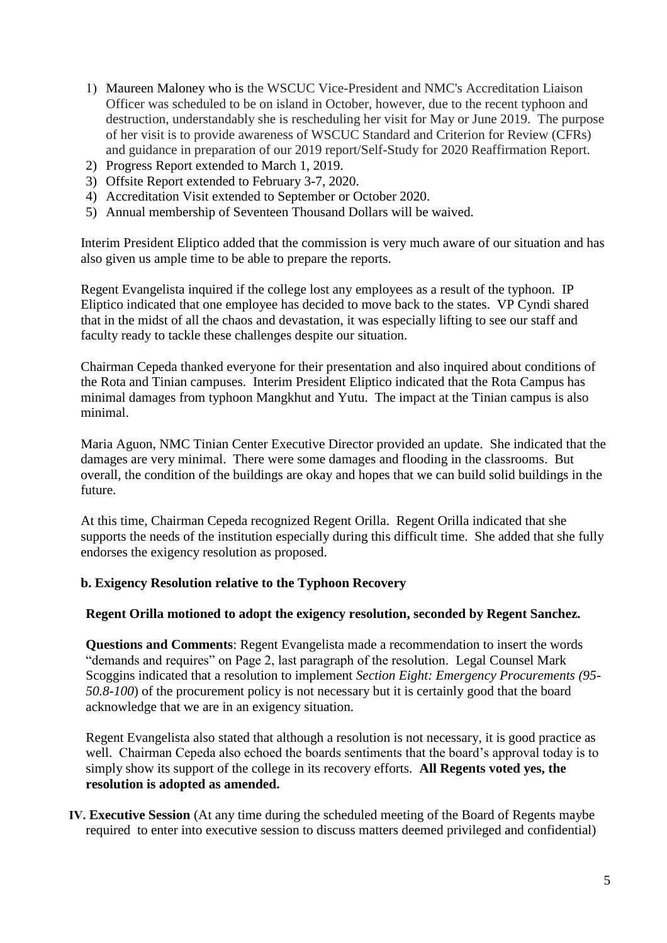- 1) Maureen Maloney who is the WSCUC Vice-President and NMC's Accreditation Liaison Officer was scheduled to be on island in October, however, due to the recent typhoon and destruction, understandably she is rescheduling her visit for May or June 2019. The purpose of her visit is to provide awareness of WSCUC Standard and Criterion for Review (CFRs) and guidance in preparation of our 2019 report/Self-Study for 2020 Reaffirmation Report.
- 2) Progress Report extended to March 1, 2019.
- 3) Offsite Report extended to February 3-7, 2020.
- 4) Accreditation Visit extended to September or October 2020.
- 5) Annual membership of Seventeen Thousand Dollars will be waived.

Interim President Eliptico added that the commission is very much aware of our situation and has also given us ample time to be able to prepare the reports.

Regent Evangelista inquired if the college lost any employees as a result of the typhoon. IP Eliptico indicated that one employee has decided to move back to the states. VP Cyndi shared that in the midst of all the chaos and devastation, it was especially lifting to see our staff and faculty ready to tackle these challenges despite our situation.

Chairman Cepeda thanked everyone for their presentation and also inquired about conditions of the Rota and Tinian campuses. Interim President Eliptico indicated that the Rota Campus has minimal damages from typhoon Mangkhut and Yutu. The impact at the Tinian campus is also minimal.

Maria Aguon, NMC Tinian Center Executive Director provided an update. She indicated that the damages are very minimal. There were some damages and flooding in the classrooms. But overall, the condition of the buildings are okay and hopes that we can build solid buildings in the future.

At this time, Chairman Cepeda recognized Regent Orilla. Regent Orilla indicated that she supports the needs of the institution especially during this difficult time. She added that she fully endorses the exigency resolution as proposed.

## **b. Exigency Resolution relative to the Typhoon Recovery**

#### **Regent Orilla motioned to adopt the exigency resolution, seconded by Regent Sanchez.**

**Questions and Comments**: Regent Evangelista made a recommendation to insert the words "demands and requires" on Page 2, last paragraph of the resolution.Legal Counsel Mark Scoggins indicated that a resolution to implement *Section Eight: Emergency Procurements (95- 50.8-100*) of the procurement policy is not necessary but it is certainly good that the board acknowledge that we are in an exigency situation.

Regent Evangelista also stated that although a resolution is not necessary, it is good practice as well. Chairman Cepeda also echoed the boards sentiments that the board's approval today is to simply show its support of the college in its recovery efforts. **All Regents voted yes, the resolution is adopted as amended.** 

**IV. Executive Session** (At any time during the scheduled meeting of the Board of Regents maybe required to enter into executive session to discuss matters deemed privileged and confidential)